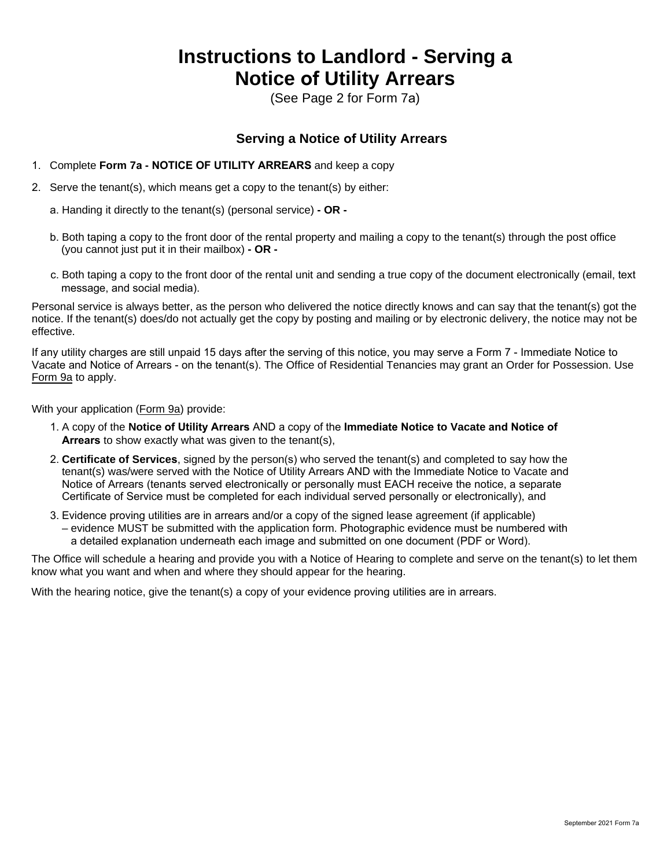## **Instructions to Landlord - Serving a Notice of Utility Arrears**

(See Page 2 for Form 7a)

## **Serving a Notice of Utility Arrears**

- 1. Complete **Form 7a NOTICE OF UTILITY ARREARS** and keep a copy
- 2. Serve the tenant(s), which means get a copy to the tenant(s) by either:
	- a. Handing it directly to the tenant(s) (personal service)  **OR -**
	- b. Both taping a copy to the front door of the rental property and mailing a copy to the tenant(s) through the post office (you cannot just put it in their mailbox) **- OR -**
	- c. Both taping a copy to the front door of the rental unit and sending a true copy of the document electronically (email, text message, and social media).

Personal service is always better, as the person who delivered the notice directly knows and can say that the tenant(s) got the notice. If the tenant(s) does/do not actually get the copy by posting and mailing or by electronic delivery, the notice may not be effective.

If any utility charges are still unpaid 15 days after the serving of this notice, you may serve a Form 7 - Immediate Notice to Vacate and Notice of Arrears - on the tenant(s). The Office of Residential Tenancies may grant an Order for Possession. Use Form 9a to apply.

With your application [\(Form 9a\)](http://publications.gov.sk.ca/documents/9/107282-Form%209a%20Landlord%20Possession%20Application%20Fillable.pdf) provide:

- 1. A copy of the **Notice of Utility Arrears** AND a copy of the **Immediate Notice to Vacate and Notice of Arrears** to show exactly what was given to the tenant(s),
- 2. **Certificate of Services**, signed by the person(s) who served the tenant(s) and completed to say how the tenant(s) was/were served with the Notice of Utility Arrears AND with the Immediate Notice to Vacate and Notice of Arrears (tenants served electronically or personally must EACH receive the notice, a separate Certificate of Service must be completed for each individual served personally or electronically), and
- 3. Evidence proving utilities are in arrears and/or a copy of the signed lease agreement (if applicable) – evidence MUST be submitted with the application form. Photographic evidence must be numbered with a detailed explanation underneath each image and submitted on one document (PDF or Word).

The Office will schedule a hearing and provide you with a Notice of Hearing to complete and serve on the tenant(s) to let them know what you want and when and where they should appear for the hearing.

With the hearing notice, give the tenant(s) a copy of your evidence proving utilities are in arrears.